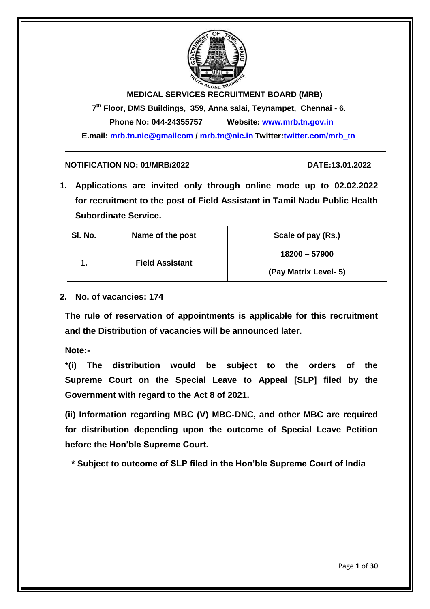

**MEDICAL SERVICES RECRUITMENT BOARD (MRB) 7 th Floor, DMS Buildings, 359, Anna salai, Teynampet, Chennai - 6.**

**Phone No: 044-24355757 Website: www.mrb.tn.gov.in** 

**E.mail: mrb.tn.nic@gmailcom / mrb.tn@nic.in Twitter:twitter.com/mrb\_tn**

#### **NOTIFICATION NO: 01/MRB/2022 DATE:13.01.2022**

**1. Applications are invited only through online mode up to 02.02.2022 for recruitment to the post of Field Assistant in Tamil Nadu Public Health Subordinate Service.**

| SI. No. | Name of the post       | Scale of pay (Rs.)    |  |
|---------|------------------------|-----------------------|--|
| 1.      | <b>Field Assistant</b> | 18200 - 57900         |  |
|         |                        | (Pay Matrix Level- 5) |  |

**2. No. of vacancies: 174**

**The rule of reservation of appointments is applicable for this recruitment and the Distribution of vacancies will be announced later.**

**Note:-**

**\*(i) The distribution would be subject to the orders of the Supreme Court on the Special Leave to Appeal [SLP] filed by the Government with regard to the Act 8 of 2021.**

**(ii) Information regarding MBC (V) MBC-DNC, and other MBC are required for distribution depending upon the outcome of Special Leave Petition before the Hon'ble Supreme Court.**

**\* Subject to outcome of SLP filed in the Hon'ble Supreme Court of India**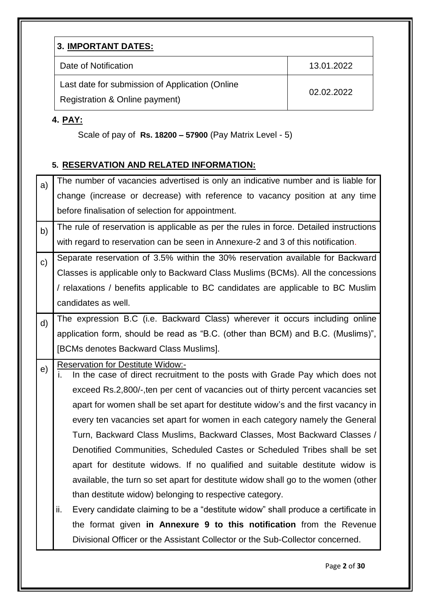|--|

| Date of Notification                                          | 13.01.2022 |
|---------------------------------------------------------------|------------|
| Last date for submission of Application (Online<br>02.02.2022 |            |
| Registration & Online payment)                                |            |

# **4. PAY:**

Scale of pay of **Rs. 18200 – 57900** (Pay Matrix Level - 5)

# **5. RESERVATION AND RELATED INFORMATION:**

| a)           | The number of vacancies advertised is only an indicative number and is liable for                                              |
|--------------|--------------------------------------------------------------------------------------------------------------------------------|
|              | change (increase or decrease) with reference to vacancy position at any time                                                   |
|              | before finalisation of selection for appointment.                                                                              |
| b)           | The rule of reservation is applicable as per the rules in force. Detailed instructions                                         |
|              | with regard to reservation can be seen in Annexure-2 and 3 of this notification.                                               |
| $\mathbf{C}$ | Separate reservation of 3.5% within the 30% reservation available for Backward                                                 |
|              | Classes is applicable only to Backward Class Muslims (BCMs). All the concessions                                               |
|              | / relaxations / benefits applicable to BC candidates are applicable to BC Muslim                                               |
|              | candidates as well.                                                                                                            |
| $\mathsf{d}$ | The expression B.C (i.e. Backward Class) wherever it occurs including online                                                   |
|              | application form, should be read as "B.C. (other than BCM) and B.C. (Muslims)",                                                |
|              | [BCMs denotes Backward Class Muslims].                                                                                         |
| e)           | <b>Reservation for Destitute Widow:-</b><br>In the case of direct recruitment to the posts with Grade Pay which does not<br>Ĺ. |
|              | exceed Rs.2,800/-, ten per cent of vacancies out of thirty percent vacancies set                                               |
|              | apart for women shall be set apart for destitute widow's and the first vacancy in                                              |
|              | every ten vacancies set apart for women in each category namely the General                                                    |
|              | Turn, Backward Class Muslims, Backward Classes, Most Backward Classes /                                                        |
|              | Denotified Communities, Scheduled Castes or Scheduled Tribes shall be set                                                      |
|              | apart for destitute widows. If no qualified and suitable destitute widow is                                                    |
|              | available, the turn so set apart for destitute widow shall go to the women (other                                              |
|              | than destitute widow) belonging to respective category.                                                                        |
|              | ii.<br>Every candidate claiming to be a "destitute widow" shall produce a certificate in                                       |
|              | the format given in Annexure 9 to this notification from the Revenue                                                           |
|              | Divisional Officer or the Assistant Collector or the Sub-Collector concerned.                                                  |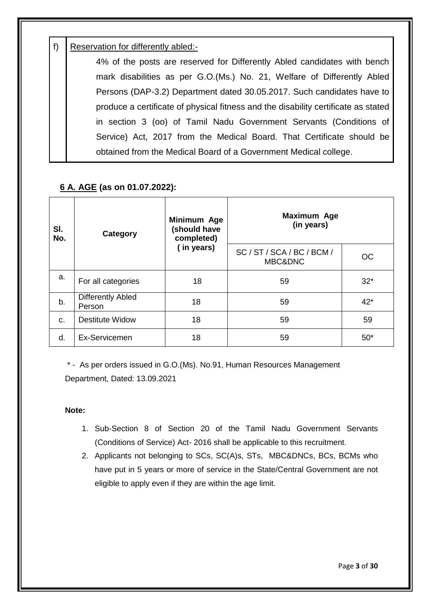# f) Reservation for differently abled:-

4% of the posts are reserved for Differently Abled candidates with bench mark disabilities as per G.O.(Ms.) No. 21, Welfare of Differently Abled Persons (DAP-3.2) Department dated 30.05.2017. Such candidates have to produce a certificate of physical fitness and the disability certificate as stated in section 3 (oo) of Tamil Nadu Government Servants (Conditions of Service) Act, 2017 from the Medical Board. That Certificate should be obtained from the Medical Board of a Government Medical college.

# **6 A. AGE (as on 01.07.2022):**

| SI.<br>No. | <b>Category</b>                    | Minimum Age<br>(should have<br>completed) | Maximum Age<br>(in years)             |       |
|------------|------------------------------------|-------------------------------------------|---------------------------------------|-------|
|            |                                    | (in years)                                | SC / ST / SCA / BC / BCM /<br>MBC&DNC | OC.   |
| a.         | For all categories                 | 18                                        | 59                                    | $32*$ |
| b.         | <b>Differently Abled</b><br>Person | 18                                        | 59                                    | $42*$ |
| C.         | <b>Destitute Widow</b>             | 18                                        | 59                                    | 59    |
| d.         | Ex-Servicemen                      | 18                                        | 59                                    | $50*$ |

\* - As per orders issued in G.O.(Ms). No.91, Human Resources Management Department, Dated: 13.09.2021

#### **Note:**

- 1. Sub-Section 8 of Section 20 of the Tamil Nadu Government Servants (Conditions of Service) Act- 2016 shall be applicable to this recruitment.
- 2. Applicants not belonging to SCs, SC(A)s, STs, MBC&DNCs, BCs, BCMs who have put in 5 years or more of service in the State/Central Government are not eligible to apply even if they are within the age limit.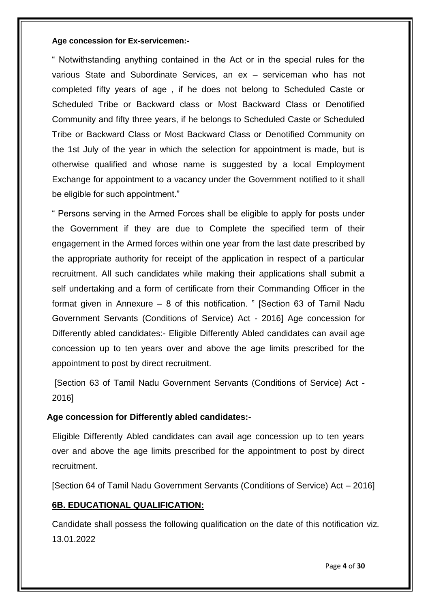#### **Age concession for Ex-servicemen:-**

" Notwithstanding anything contained in the Act or in the special rules for the various State and Subordinate Services, an ex – serviceman who has not completed fifty years of age , if he does not belong to Scheduled Caste or Scheduled Tribe or Backward class or Most Backward Class or Denotified Community and fifty three years, if he belongs to Scheduled Caste or Scheduled Tribe or Backward Class or Most Backward Class or Denotified Community on the 1st July of the year in which the selection for appointment is made, but is otherwise qualified and whose name is suggested by a local Employment Exchange for appointment to a vacancy under the Government notified to it shall be eligible for such appointment."

" Persons serving in the Armed Forces shall be eligible to apply for posts under the Government if they are due to Complete the specified term of their engagement in the Armed forces within one year from the last date prescribed by the appropriate authority for receipt of the application in respect of a particular recruitment. All such candidates while making their applications shall submit a self undertaking and a form of certificate from their Commanding Officer in the format given in Annexure – 8 of this notification. " [Section 63 of Tamil Nadu Government Servants (Conditions of Service) Act - 2016] Age concession for Differently abled candidates:- Eligible Differently Abled candidates can avail age concession up to ten years over and above the age limits prescribed for the appointment to post by direct recruitment.

[Section 63 of Tamil Nadu Government Servants (Conditions of Service) Act - 2016]

#### **Age concession for Differently abled candidates:-**

Eligible Differently Abled candidates can avail age concession up to ten years over and above the age limits prescribed for the appointment to post by direct recruitment.

[Section 64 of Tamil Nadu Government Servants (Conditions of Service) Act – 2016]

# **6B. EDUCATIONAL QUALIFICATION:**

Candidate shall possess the following qualification on the date of this notification viz*.* 13.01.2022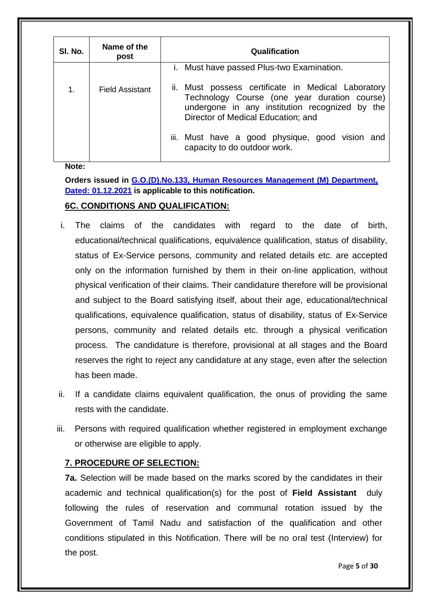| SI. No. | Name of the<br>post    | Qualification                                                                                                                                                                                     |
|---------|------------------------|---------------------------------------------------------------------------------------------------------------------------------------------------------------------------------------------------|
| 1.      | <b>Field Assistant</b> | i. Must have passed Plus-two Examination.<br>ii. Must possess certificate in Medical Laboratory<br>Technology Course (one year duration course)<br>undergone in any institution recognized by the |
|         |                        | Director of Medical Education; and<br>iii. Must have a good physique, good vision and<br>capacity to do outdoor work.                                                                             |

**Note:**

**Orders issued in G.O.(D).No.133, Human Resources Management (M) Department, Dated: 01.12.2021 is applicable to this notification.**

# **6C. CONDITIONS AND QUALIFICATION:**

- i. The claims of the candidates with regard to the date of birth, educational/technical qualifications, equivalence qualification, status of disability, status of Ex-Service persons, community and related details etc. are accepted only on the information furnished by them in their on-line application, without physical verification of their claims. Their candidature therefore will be provisional and subject to the Board satisfying itself, about their age, educational/technical qualifications, equivalence qualification, status of disability, status of Ex-Service persons, community and related details etc. through a physical verification process. The candidature is therefore, provisional at all stages and the Board reserves the right to reject any candidature at any stage, even after the selection has been made.
- ii. If a candidate claims equivalent qualification, the onus of providing the same rests with the candidate.
- iii. Persons with required qualification whether registered in employment exchange or otherwise are eligible to apply.

# **7. PROCEDURE OF SELECTION:**

**7a.** Selection will be made based on the marks scored by the candidates in their academic and technical qualification(s) for the post of **Field Assistant** duly following the rules of reservation and communal rotation issued by the Government of Tamil Nadu and satisfaction of the qualification and other conditions stipulated in this Notification. There will be no oral test (Interview) for the post.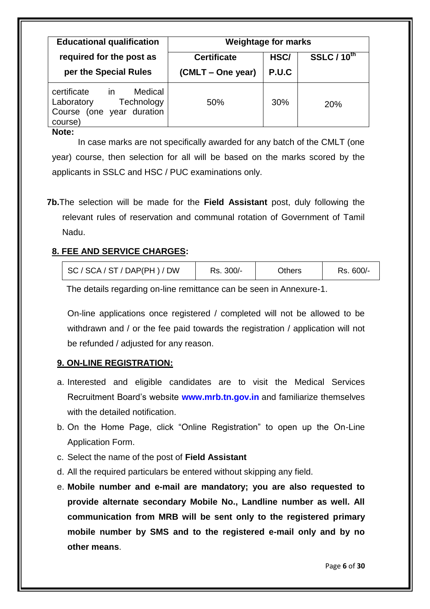| <b>Educational qualification</b>                                                                    | <b>Weightage for marks</b> |       |                    |
|-----------------------------------------------------------------------------------------------------|----------------------------|-------|--------------------|
| required for the post as                                                                            | <b>Certificate</b>         | HSC/  | <b>SSLC / 10th</b> |
| per the Special Rules                                                                               | (CMLT – One year)          | P.U.C |                    |
| certificate<br>Medical<br>in in<br>Laboratory<br>Technology<br>Course (one year duration<br>course) | 50%                        | 30%   | 20%                |

**Note:**

In case marks are not specifically awarded for any batch of the CMLT (one year) course, then selection for all will be based on the marks scored by the applicants in SSLC and HSC / PUC examinations only.

**7b.**The selection will be made for the **Field Assistant** post, duly following the relevant rules of reservation and communal rotation of Government of Tamil Nadu.

# **8. FEE AND SERVICE CHARGES:**

| SC / SCA / ST / DAP(PH) / DW | Rs. 300/- | Others | Rs. 600/- |
|------------------------------|-----------|--------|-----------|
|                              |           |        |           |

The details regarding on-line remittance can be seen in Annexure-1.

On-line applications once registered / completed will not be allowed to be withdrawn and / or the fee paid towards the registration / application will not be refunded / adjusted for any reason.

# **9. ON-LINE REGISTRATION:**

- a. Interested and eligible candidates are to visit the Medical Services Recruitment Board"s website **www.mrb.tn.gov.in** and familiarize themselves with the detailed notification.
- b. On the Home Page, click "Online Registration" to open up the On-Line Application Form.
- c. Select the name of the post of **Field Assistant**
- d. All the required particulars be entered without skipping any field.
- e. **Mobile number and e-mail are mandatory; you are also requested to provide alternate secondary Mobile No., Landline number as well. All communication from MRB will be sent only to the registered primary mobile number by SMS and to the registered e-mail only and by no other means**.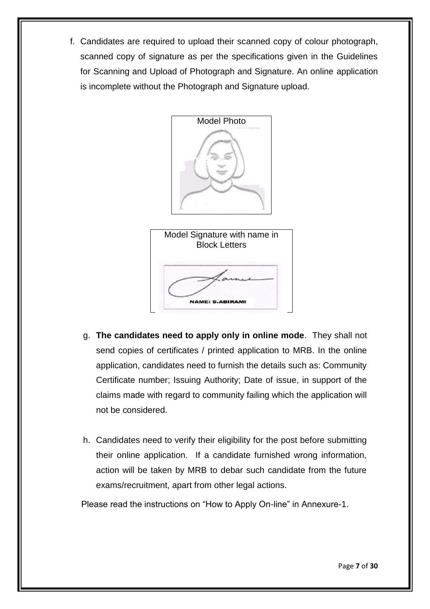f. Candidates are required to upload their scanned copy of colour photograph, scanned copy of signature as per the specifications given in the Guidelines for Scanning and Upload of Photograph and Signature. An online application is incomplete without the Photograph and Signature upload.





- g. **The candidates need to apply only in online mode**. They shall not send copies of certificates / printed application to MRB. In the online application, candidates need to furnish the details such as: Community Certificate number; Issuing Authority; Date of issue, in support of the claims made with regard to community failing which the application will not be considered.
- h. Candidates need to verify their eligibility for the post before submitting their online application. If a candidate furnished wrong information, action will be taken by MRB to debar such candidate from the future exams/recruitment, apart from other legal actions.

Please read the instructions on "How to Apply On-line" in Annexure-1.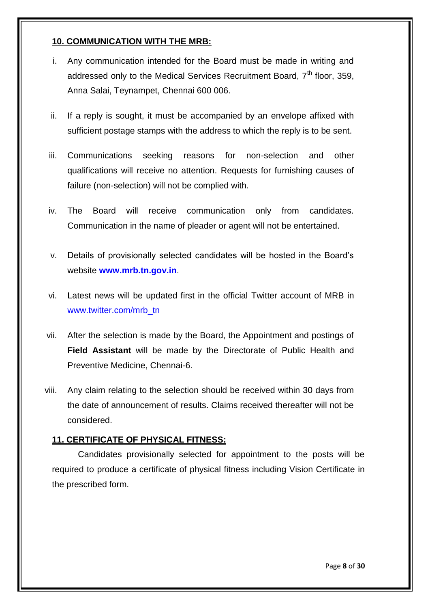# **10. COMMUNICATION WITH THE MRB:**

- i. Any communication intended for the Board must be made in writing and addressed only to the Medical Services Recruitment Board,  $7<sup>th</sup>$  floor, 359, Anna Salai, Teynampet, Chennai 600 006.
- ii. If a reply is sought, it must be accompanied by an envelope affixed with sufficient postage stamps with the address to which the reply is to be sent.
- iii. Communications seeking reasons for non-selection and other qualifications will receive no attention. Requests for furnishing causes of failure (non-selection) will not be complied with.
- iv. The Board will receive communication only from candidates. Communication in the name of pleader or agent will not be entertained.
- v. Details of provisionally selected candidates will be hosted in the Board"s website **www.mrb.tn.gov.in**.
- vi. Latest news will be updated first in the official Twitter account of MRB in www.twitter.com/mrb\_tn
- vii. After the selection is made by the Board, the Appointment and postings of **Field Assistant** will be made by the Directorate of Public Health and Preventive Medicine, Chennai-6.
- viii. Any claim relating to the selection should be received within 30 days from the date of announcement of results. Claims received thereafter will not be considered.

#### **11. CERTIFICATE OF PHYSICAL FITNESS:**

Candidates provisionally selected for appointment to the posts will be required to produce a certificate of physical fitness including Vision Certificate in the prescribed form.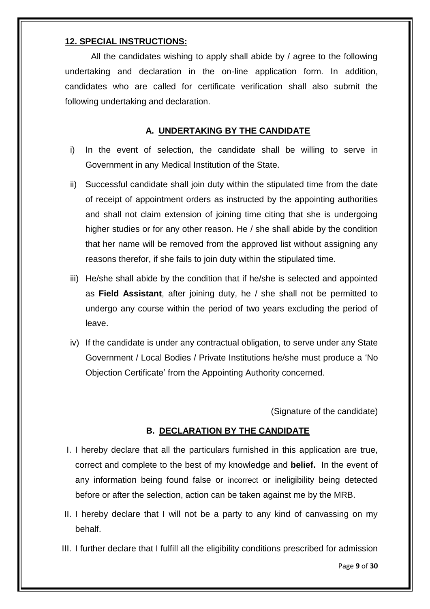## **12. SPECIAL INSTRUCTIONS:**

All the candidates wishing to apply shall abide by / agree to the following undertaking and declaration in the on-line application form. In addition, candidates who are called for certificate verification shall also submit the following undertaking and declaration.

## **A. UNDERTAKING BY THE CANDIDATE**

- i) In the event of selection, the candidate shall be willing to serve in Government in any Medical Institution of the State.
- ii) Successful candidate shall join duty within the stipulated time from the date of receipt of appointment orders as instructed by the appointing authorities and shall not claim extension of joining time citing that she is undergoing higher studies or for any other reason. He / she shall abide by the condition that her name will be removed from the approved list without assigning any reasons therefor, if she fails to join duty within the stipulated time.
- iii) He/she shall abide by the condition that if he/she is selected and appointed as **Field Assistant**, after joining duty, he / she shall not be permitted to undergo any course within the period of two years excluding the period of leave.
- iv) If the candidate is under any contractual obligation, to serve under any State Government / Local Bodies / Private Institutions he/she must produce a "No Objection Certificate" from the Appointing Authority concerned.

(Signature of the candidate)

#### **B. DECLARATION BY THE CANDIDATE**

- I. I hereby declare that all the particulars furnished in this application are true, correct and complete to the best of my knowledge and **belief.** In the event of any information being found false or incorrect or ineligibility being detected before or after the selection, action can be taken against me by the MRB.
- II. I hereby declare that I will not be a party to any kind of canvassing on my behalf.
- III. I further declare that I fulfill all the eligibility conditions prescribed for admission

Page **9** of **30**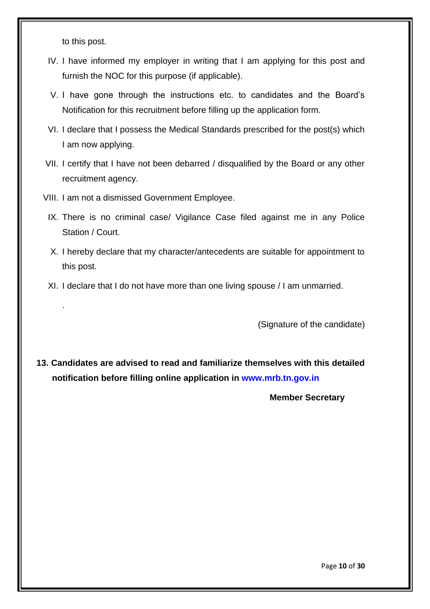to this post.

.

- IV. I have informed my employer in writing that I am applying for this post and furnish the NOC for this purpose (if applicable).
- V. I have gone through the instructions etc. to candidates and the Board"s Notification for this recruitment before filling up the application form.
- VI. I declare that I possess the Medical Standards prescribed for the post(s) which I am now applying.
- VII. I certify that I have not been debarred / disqualified by the Board or any other recruitment agency.
- VIII. I am not a dismissed Government Employee.
- IX. There is no criminal case/ Vigilance Case filed against me in any Police Station / Court.
- X. I hereby declare that my character/antecedents are suitable for appointment to this post.
- XI. I declare that I do not have more than one living spouse / I am unmarried.

(Signature of the candidate)

**13. Candidates are advised to read and familiarize themselves with this detailed notification before filling online application in www.mrb.tn.gov.in**

 **Member Secretary**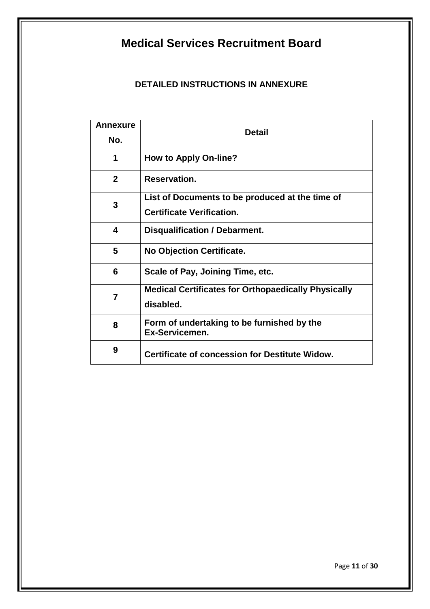# **Medical Services Recruitment Board**

# **DETAILED INSTRUCTIONS IN ANNEXURE**

| <b>Annexure</b><br>No. | <b>Detail</b>                                                                       |
|------------------------|-------------------------------------------------------------------------------------|
| 1                      | <b>How to Apply On-line?</b>                                                        |
| $\mathbf{2}$           | <b>Reservation.</b>                                                                 |
| 3                      | List of Documents to be produced at the time of<br><b>Certificate Verification.</b> |
| 4                      | Disqualification / Debarment.                                                       |
| 5                      | <b>No Objection Certificate.</b>                                                    |
| 6                      | Scale of Pay, Joining Time, etc.                                                    |
| $\overline{7}$         | <b>Medical Certificates for Orthopaedically Physically</b><br>disabled.             |
| 8                      | Form of undertaking to be furnished by the<br>Ex-Servicemen.                        |
| 9                      | <b>Certificate of concession for Destitute Widow.</b>                               |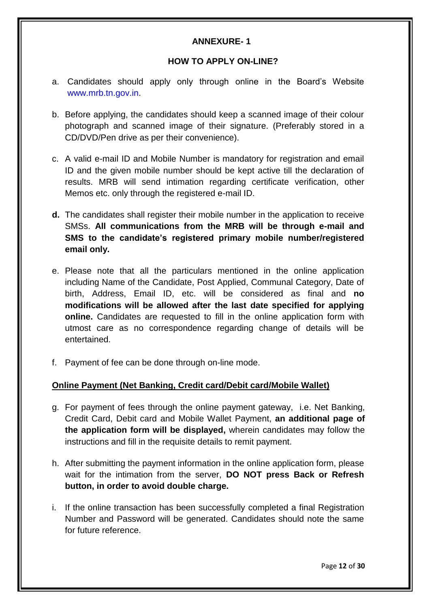# **ANNEXURE- 1**

#### **HOW TO APPLY ON-LINE?**

- a. Candidates should apply only through online in the Board"s Website www.mrb.tn.gov.in.
- b. Before applying, the candidates should keep a scanned image of their colour photograph and scanned image of their signature. (Preferably stored in a CD/DVD/Pen drive as per their convenience).
- c. A valid e-mail ID and Mobile Number is mandatory for registration and email ID and the given mobile number should be kept active till the declaration of results. MRB will send intimation regarding certificate verification, other Memos etc. only through the registered e-mail ID.
- **d.** The candidates shall register their mobile number in the application to receive SMSs. **All communications from the MRB will be through e-mail and SMS to the candidate's registered primary mobile number/registered email only.**
- e. Please note that all the particulars mentioned in the online application including Name of the Candidate, Post Applied, Communal Category, Date of birth, Address, Email ID, etc. will be considered as final and **no modifications will be allowed after the last date specified for applying online.** Candidates are requested to fill in the online application form with utmost care as no correspondence regarding change of details will be entertained.
- f. Payment of fee can be done through on-line mode.

#### **Online Payment (Net Banking, Credit card/Debit card/Mobile Wallet)**

- g. For payment of fees through the online payment gateway, i.e. Net Banking, Credit Card, Debit card and Mobile Wallet Payment, **an additional page of the application form will be displayed,** wherein candidates may follow the instructions and fill in the requisite details to remit payment.
- h. After submitting the payment information in the online application form, please wait for the intimation from the server, **DO NOT press Back or Refresh button, in order to avoid double charge.**
- i. If the online transaction has been successfully completed a final Registration Number and Password will be generated. Candidates should note the same for future reference.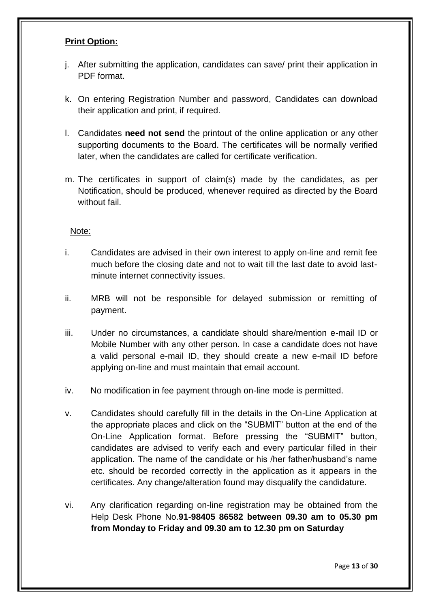#### **Print Option:**

- j. After submitting the application, candidates can save/ print their application in PDF format.
- k. On entering Registration Number and password, Candidates can download their application and print, if required.
- l. Candidates **need not send** the printout of the online application or any other supporting documents to the Board. The certificates will be normally verified later, when the candidates are called for certificate verification.
- m. The certificates in support of claim(s) made by the candidates, as per Notification, should be produced, whenever required as directed by the Board without fail

#### Note:

- i. Candidates are advised in their own interest to apply on-line and remit fee much before the closing date and not to wait till the last date to avoid lastminute internet connectivity issues.
- ii. MRB will not be responsible for delayed submission or remitting of payment.
- iii. Under no circumstances, a candidate should share/mention e-mail ID or Mobile Number with any other person. In case a candidate does not have a valid personal e-mail ID, they should create a new e-mail ID before applying on-line and must maintain that email account.
- iv. No modification in fee payment through on-line mode is permitted.
- v. Candidates should carefully fill in the details in the On-Line Application at the appropriate places and click on the "SUBMIT" button at the end of the On-Line Application format. Before pressing the "SUBMIT" button, candidates are advised to verify each and every particular filled in their application. The name of the candidate or his /her father/husband"s name etc. should be recorded correctly in the application as it appears in the certificates. Any change/alteration found may disqualify the candidature.
- vi. Any clarification regarding on-line registration may be obtained from the Help Desk Phone No.**91-98405 86582 between 09.30 am to 05.30 pm from Monday to Friday and 09.30 am to 12.30 pm on Saturday**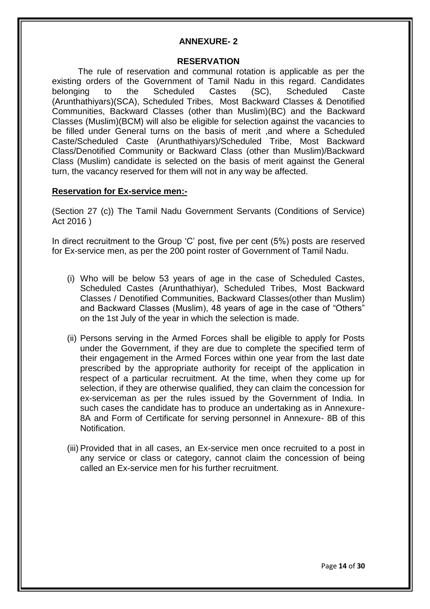#### **ANNEXURE- 2**

#### **RESERVATION**

The rule of reservation and communal rotation is applicable as per the existing orders of the Government of Tamil Nadu in this regard. Candidates belonging to the Scheduled Castes (SC), Scheduled Caste (Arunthathiyars)(SCA), Scheduled Tribes, Most Backward Classes & Denotified Communities, Backward Classes (other than Muslim)(BC) and the Backward Classes (Muslim)(BCM) will also be eligible for selection against the vacancies to be filled under General turns on the basis of merit ,and where a Scheduled Caste/Scheduled Caste (Arunthathiyars)/Scheduled Tribe, Most Backward Class/Denotified Community or Backward Class (other than Muslim)/Backward Class (Muslim) candidate is selected on the basis of merit against the General turn, the vacancy reserved for them will not in any way be affected.

#### **Reservation for Ex-service men:-**

(Section 27 (c)) The Tamil Nadu Government Servants (Conditions of Service) Act 2016 )

In direct recruitment to the Group 'C' post, five per cent (5%) posts are reserved for Ex-service men, as per the 200 point roster of Government of Tamil Nadu.

- (i) Who will be below 53 years of age in the case of Scheduled Castes, Scheduled Castes (Arunthathiyar), Scheduled Tribes, Most Backward Classes / Denotified Communities, Backward Classes(other than Muslim) and Backward Classes (Muslim), 48 years of age in the case of "Others" on the 1st July of the year in which the selection is made.
- (ii) Persons serving in the Armed Forces shall be eligible to apply for Posts under the Government, if they are due to complete the specified term of their engagement in the Armed Forces within one year from the last date prescribed by the appropriate authority for receipt of the application in respect of a particular recruitment. At the time, when they come up for selection, if they are otherwise qualified, they can claim the concession for ex-serviceman as per the rules issued by the Government of India. In such cases the candidate has to produce an undertaking as in Annexure-8A and Form of Certificate for serving personnel in Annexure- 8B of this Notification.
- (iii) Provided that in all cases, an Ex-service men once recruited to a post in any service or class or category, cannot claim the concession of being called an Ex-service men for his further recruitment.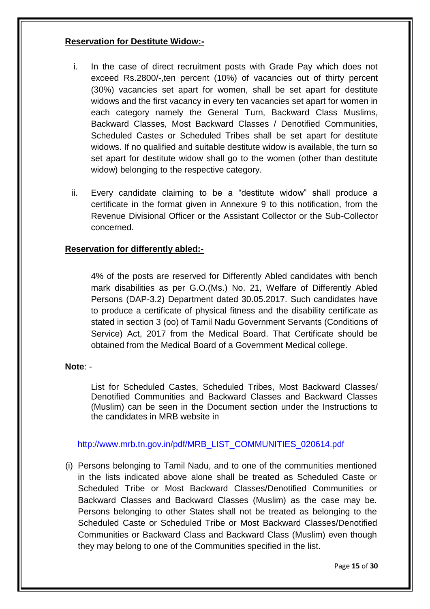#### **Reservation for Destitute Widow:-**

- i. In the case of direct recruitment posts with Grade Pay which does not exceed Rs.2800/-,ten percent (10%) of vacancies out of thirty percent (30%) vacancies set apart for women, shall be set apart for destitute widows and the first vacancy in every ten vacancies set apart for women in each category namely the General Turn, Backward Class Muslims, Backward Classes, Most Backward Classes / Denotified Communities, Scheduled Castes or Scheduled Tribes shall be set apart for destitute widows. If no qualified and suitable destitute widow is available, the turn so set apart for destitute widow shall go to the women (other than destitute widow) belonging to the respective category.
- ii. Every candidate claiming to be a "destitute widow" shall produce a certificate in the format given in Annexure 9 to this notification, from the Revenue Divisional Officer or the Assistant Collector or the Sub-Collector concerned.

#### **Reservation for differently abled:-**

4% of the posts are reserved for Differently Abled candidates with bench mark disabilities as per G.O.(Ms.) No. 21, Welfare of Differently Abled Persons (DAP-3.2) Department dated 30.05.2017. Such candidates have to produce a certificate of physical fitness and the disability certificate as stated in section 3 (oo) of Tamil Nadu Government Servants (Conditions of Service) Act, 2017 from the Medical Board. That Certificate should be obtained from the Medical Board of a Government Medical college.

#### **Note**: -

List for Scheduled Castes, Scheduled Tribes, Most Backward Classes/ Denotified Communities and Backward Classes and Backward Classes (Muslim) can be seen in the Document section under the Instructions to the candidates in MRB website in

#### http://www.mrb.tn.gov.in/pdf/MRB\_LIST\_COMMUNITIES\_020614.pdf

(i) Persons belonging to Tamil Nadu, and to one of the communities mentioned in the lists indicated above alone shall be treated as Scheduled Caste or Scheduled Tribe or Most Backward Classes/Denotified Communities or Backward Classes and Backward Classes (Muslim) as the case may be. Persons belonging to other States shall not be treated as belonging to the Scheduled Caste or Scheduled Tribe or Most Backward Classes/Denotified Communities or Backward Class and Backward Class (Muslim) even though they may belong to one of the Communities specified in the list.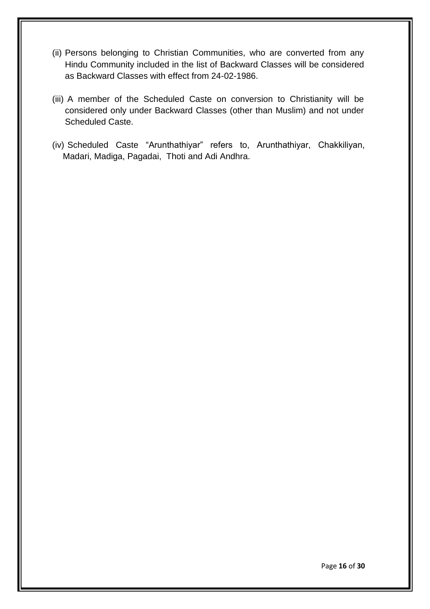- (ii) Persons belonging to Christian Communities, who are converted from any Hindu Community included in the list of Backward Classes will be considered as Backward Classes with effect from 24-02-1986.
- (iii) A member of the Scheduled Caste on conversion to Christianity will be considered only under Backward Classes (other than Muslim) and not under Scheduled Caste.
- (iv) Scheduled Caste "Arunthathiyar" refers to, Arunthathiyar, Chakkiliyan, Madari, Madiga, Pagadai, Thoti and Adi Andhra.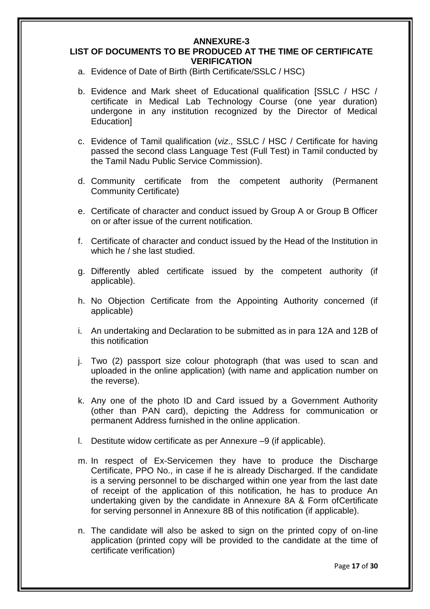#### **ANNEXURE-3 LIST OF DOCUMENTS TO BE PRODUCED AT THE TIME OF CERTIFICATE VERIFICATION**

- a. Evidence of Date of Birth (Birth Certificate/SSLC / HSC)
- b. Evidence and Mark sheet of Educational qualification [SSLC / HSC / certificate in Medical Lab Technology Course (one year duration) undergone in any institution recognized by the Director of Medical Education]
- c. Evidence of Tamil qualification (*viz*., SSLC / HSC / Certificate for having passed the second class Language Test (Full Test) in Tamil conducted by the Tamil Nadu Public Service Commission).
- d. Community certificate from the competent authority (Permanent Community Certificate)
- e. Certificate of character and conduct issued by Group A or Group B Officer on or after issue of the current notification.
- f. Certificate of character and conduct issued by the Head of the Institution in which he / she last studied.
- g. Differently abled certificate issued by the competent authority (if applicable).
- h. No Objection Certificate from the Appointing Authority concerned (if applicable)
- i. An undertaking and Declaration to be submitted as in para 12A and 12B of this notification
- j. Two (2) passport size colour photograph (that was used to scan and uploaded in the online application) (with name and application number on the reverse).
- k. Any one of the photo ID and Card issued by a Government Authority (other than PAN card), depicting the Address for communication or permanent Address furnished in the online application.
- l. Destitute widow certificate as per Annexure –9 (if applicable).
- m. In respect of Ex-Servicemen they have to produce the Discharge Certificate, PPO No., in case if he is already Discharged. If the candidate is a serving personnel to be discharged within one year from the last date of receipt of the application of this notification, he has to produce An undertaking given by the candidate in Annexure 8A & Form ofCertificate for serving personnel in Annexure 8B of this notification (if applicable).
- n. The candidate will also be asked to sign on the printed copy of on-line application (printed copy will be provided to the candidate at the time of certificate verification)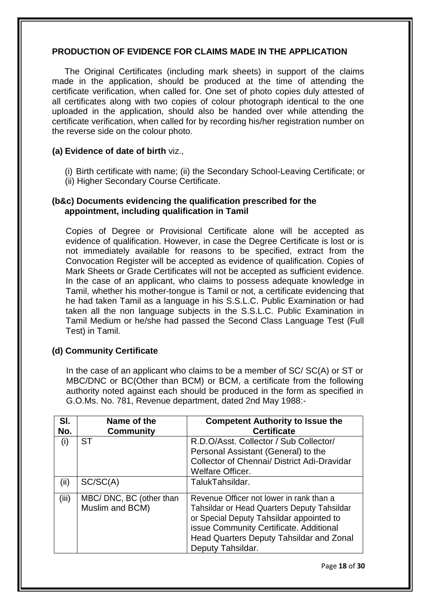#### **PRODUCTION OF EVIDENCE FOR CLAIMS MADE IN THE APPLICATION**

The Original Certificates (including mark sheets) in support of the claims made in the application, should be produced at the time of attending the certificate verification, when called for. One set of photo copies duly attested of all certificates along with two copies of colour photograph identical to the one uploaded in the application, should also be handed over while attending the certificate verification, when called for by recording his/her registration number on the reverse side on the colour photo.

#### **(a) Evidence of date of birth** viz.,

- (i) Birth certificate with name; (ii) the Secondary School-Leaving Certificate; or
- (ii) Higher Secondary Course Certificate.

#### **(b&c) Documents evidencing the qualification prescribed for the appointment, including qualification in Tamil**

Copies of Degree or Provisional Certificate alone will be accepted as evidence of qualification. However, in case the Degree Certificate is lost or is not immediately available for reasons to be specified, extract from the Convocation Register will be accepted as evidence of qualification. Copies of Mark Sheets or Grade Certificates will not be accepted as sufficient evidence. In the case of an applicant, who claims to possess adequate knowledge in Tamil, whether his mother-tongue is Tamil or not, a certificate evidencing that he had taken Tamil as a language in his S.S.L.C. Public Examination or had taken all the non language subjects in the S.S.L.C. Public Examination in Tamil Medium or he/she had passed the Second Class Language Test (Full Test) in Tamil.

#### **(d) Community Certificate**

In the case of an applicant who claims to be a member of SC/ SC(A) or ST or MBC/DNC or BC(Other than BCM) or BCM, a certificate from the following authority noted against each should be produced in the form as specified in G.O.Ms. No. 781, Revenue department, dated 2nd May 1988:-

| SI.<br>No. | Name of the<br><b>Community</b>            | <b>Competent Authority to Issue the</b><br><b>Certificate</b>                                                                                                                                                                                          |
|------------|--------------------------------------------|--------------------------------------------------------------------------------------------------------------------------------------------------------------------------------------------------------------------------------------------------------|
| (i)        | ST                                         | R.D.O/Asst. Collector / Sub Collector/<br>Personal Assistant (General) to the<br>Collector of Chennai/ District Adi-Dravidar<br><b>Welfare Officer.</b>                                                                                                |
| (ii)       | SC/SC(A)                                   | TalukTahsildar.                                                                                                                                                                                                                                        |
| (iii)      | MBC/DNC, BC (other than<br>Muslim and BCM) | Revenue Officer not lower in rank than a<br><b>Tahsildar or Head Quarters Deputy Tahsildar</b><br>or Special Deputy Tahsildar appointed to<br>issue Community Certificate. Additional<br>Head Quarters Deputy Tahsildar and Zonal<br>Deputy Tahsildar. |

Page **18** of **30**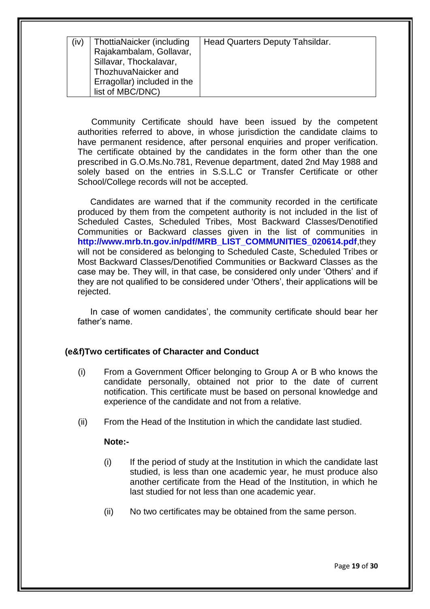| (iv) | ThottiaNaicker (including   | Head Quarters Deputy Tahsildar. |
|------|-----------------------------|---------------------------------|
|      | Rajakambalam, Gollavar,     |                                 |
|      | Sillavar, Thockalavar,      |                                 |
|      | ThozhuvaNaicker and         |                                 |
|      | Erragollar) included in the |                                 |
|      | list of MBC/DNC)            |                                 |

Community Certificate should have been issued by the competent authorities referred to above, in whose jurisdiction the candidate claims to have permanent residence, after personal enquiries and proper verification. The certificate obtained by the candidates in the form other than the one prescribed in G.O.Ms.No.781, Revenue department, dated 2nd May 1988 and solely based on the entries in S.S.L.C or Transfer Certificate or other School/College records will not be accepted.

Candidates are warned that if the community recorded in the certificate produced by them from the competent authority is not included in the list of Scheduled Castes, Scheduled Tribes, Most Backward Classes/Denotified Communities or Backward classes given in the list of communities in **http://www.mrb.tn.gov.in/pdf/MRB\_LIST\_COMMUNITIES\_020614.pdf**,they will not be considered as belonging to Scheduled Caste, Scheduled Tribes or Most Backward Classes/Denotified Communities or Backward Classes as the case may be. They will, in that case, be considered only under "Others" and if they are not qualified to be considered under "Others", their applications will be rejected.

In case of women candidates', the community certificate should bear her father's name.

#### **(e&f)Two certificates of Character and Conduct**

- (i) From a Government Officer belonging to Group A or B who knows the candidate personally, obtained not prior to the date of current notification. This certificate must be based on personal knowledge and experience of the candidate and not from a relative.
- (ii) From the Head of the Institution in which the candidate last studied.

#### **Note:-**

- (i) If the period of study at the Institution in which the candidate last studied, is less than one academic year, he must produce also another certificate from the Head of the Institution, in which he last studied for not less than one academic year.
- (ii) No two certificates may be obtained from the same person.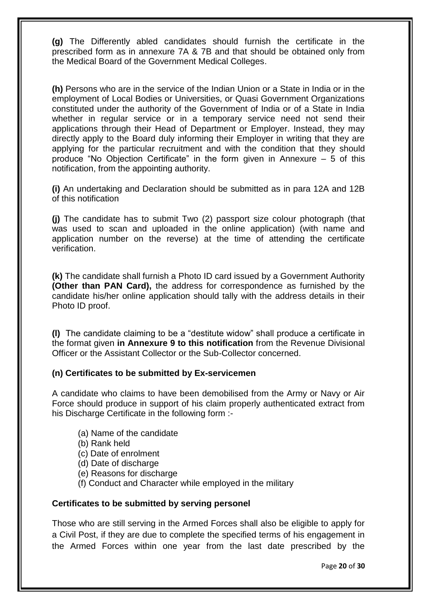**(g)** The Differently abled candidates should furnish the certificate in the prescribed form as in annexure 7A & 7B and that should be obtained only from the Medical Board of the Government Medical Colleges.

**(h)** Persons who are in the service of the Indian Union or a State in India or in the employment of Local Bodies or Universities, or Quasi Government Organizations constituted under the authority of the Government of India or of a State in India whether in regular service or in a temporary service need not send their applications through their Head of Department or Employer. Instead, they may directly apply to the Board duly informing their Employer in writing that they are applying for the particular recruitment and with the condition that they should produce "No Objection Certificate" in the form given in Annexure – 5 of this notification, from the appointing authority.

**(i)** An undertaking and Declaration should be submitted as in para 12A and 12B of this notification

**(j)** The candidate has to submit Two (2) passport size colour photograph (that was used to scan and uploaded in the online application) (with name and application number on the reverse) at the time of attending the certificate verification.

**(k)** The candidate shall furnish a Photo ID card issued by a Government Authority **(Other than PAN Card),** the address for correspondence as furnished by the candidate his/her online application should tally with the address details in their Photo ID proof.

**(l)** The candidate claiming to be a "destitute widow" shall produce a certificate in the format given **in Annexure 9 to this notification** from the Revenue Divisional Officer or the Assistant Collector or the Sub-Collector concerned.

#### **(n) Certificates to be submitted by Ex-servicemen**

A candidate who claims to have been demobilised from the Army or Navy or Air Force should produce in support of his claim properly authenticated extract from his Discharge Certificate in the following form :-

- (a) Name of the candidate
- (b) Rank held
- (c) Date of enrolment
- (d) Date of discharge
- (e) Reasons for discharge
- (f) Conduct and Character while employed in the military

#### **Certificates to be submitted by serving personel**

Those who are still serving in the Armed Forces shall also be eligible to apply for a Civil Post, if they are due to complete the specified terms of his engagement in the Armed Forces within one year from the last date prescribed by the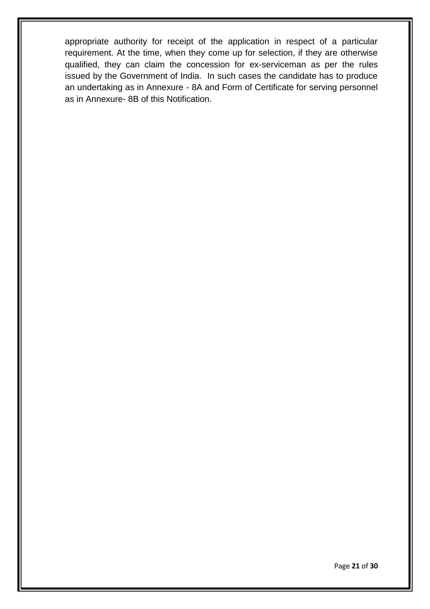appropriate authority for receipt of the application in respect of a particular requirement. At the time, when they come up for selection, if they are otherwise qualified, they can claim the concession for ex-serviceman as per the rules issued by the Government of India. In such cases the candidate has to produce an undertaking as in Annexure - 8A and Form of Certificate for serving personnel as in Annexure- 8B of this Notification.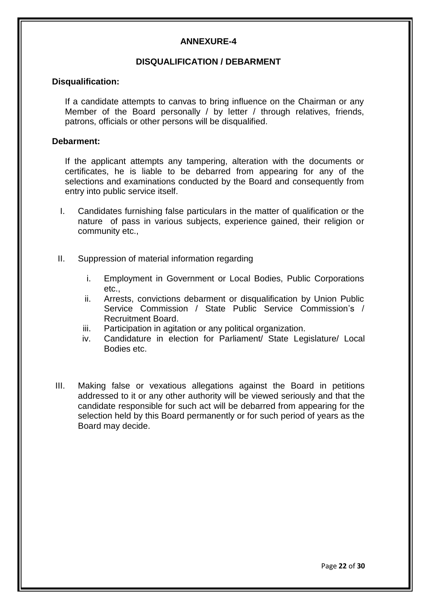### **ANNEXURE-4**

# **DISQUALIFICATION / DEBARMENT**

#### **Disqualification:**

If a candidate attempts to canvas to bring influence on the Chairman or any Member of the Board personally / by letter / through relatives, friends, patrons, officials or other persons will be disqualified.

#### **Debarment:**

If the applicant attempts any tampering, alteration with the documents or certificates, he is liable to be debarred from appearing for any of the selections and examinations conducted by the Board and consequently from entry into public service itself.

- I. Candidates furnishing false particulars in the matter of qualification or the nature of pass in various subjects, experience gained, their religion or community etc.,
- II. Suppression of material information regarding
	- i. Employment in Government or Local Bodies, Public Corporations etc.,
	- ii. Arrests, convictions debarment or disqualification by Union Public Service Commission / State Public Service Commission's / Recruitment Board.
	- iii. Participation in agitation or any political organization.
	- iv. Candidature in election for Parliament/ State Legislature/ Local Bodies etc.
- III. Making false or vexatious allegations against the Board in petitions addressed to it or any other authority will be viewed seriously and that the candidate responsible for such act will be debarred from appearing for the selection held by this Board permanently or for such period of years as the Board may decide.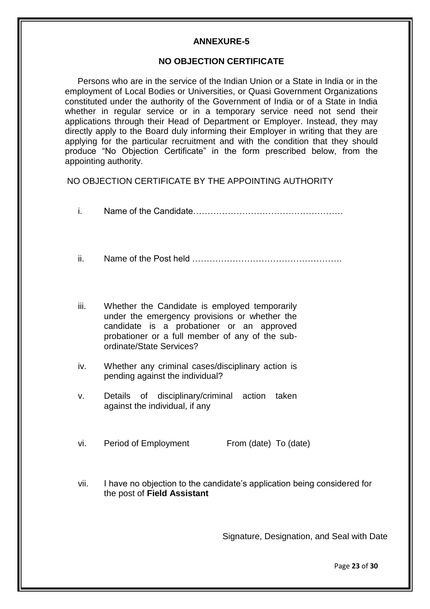#### **ANNEXURE-5**

#### **NO OBJECTION CERTIFICATE**

Persons who are in the service of the Indian Union or a State in India or in the employment of Local Bodies or Universities, or Quasi Government Organizations constituted under the authority of the Government of India or of a State in India whether in regular service or in a temporary service need not send their applications through their Head of Department or Employer. Instead, they may directly apply to the Board duly informing their Employer in writing that they are applying for the particular recruitment and with the condition that they should produce "No Objection Certificate" in the form prescribed below, from the appointing authority.

NO OBJECTION CERTIFICATE BY THE APPOINTING AUTHORITY

| i.   |                                                                                                                                                                                                                            |
|------|----------------------------------------------------------------------------------------------------------------------------------------------------------------------------------------------------------------------------|
| ii.  |                                                                                                                                                                                                                            |
| iii. | Whether the Candidate is employed temporarily<br>under the emergency provisions or whether the<br>candidate is a probationer or an approved<br>probationer or a full member of any of the sub-<br>ordinate/State Services? |
| iv.  | Whether any criminal cases/disciplinary action is<br>pending against the individual?                                                                                                                                       |
| v.   | Details of disciplinary/criminal action taken<br>against the individual, if any                                                                                                                                            |
| vi.  | Period of Employment<br>From (date) To (date)                                                                                                                                                                              |

vii. I have no objection to the candidate"s application being considered for the post of **Field Assistant**

Signature, Designation, and Seal with Date

Page **23** of **30**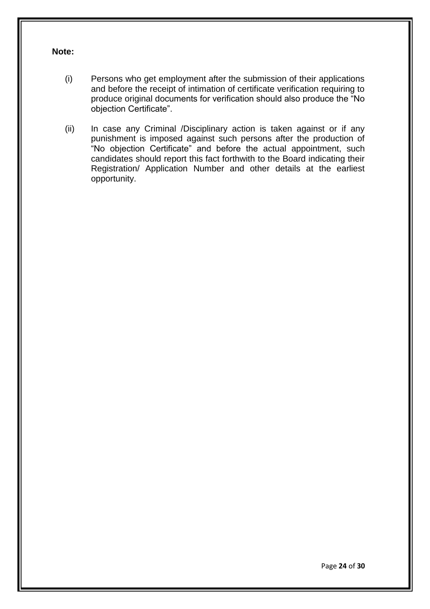#### **Note:**

- (i) Persons who get employment after the submission of their applications and before the receipt of intimation of certificate verification requiring to produce original documents for verification should also produce the "No objection Certificate".
- (ii) In case any Criminal /Disciplinary action is taken against or if any punishment is imposed against such persons after the production of "No objection Certificate" and before the actual appointment, such candidates should report this fact forthwith to the Board indicating their Registration/ Application Number and other details at the earliest opportunity.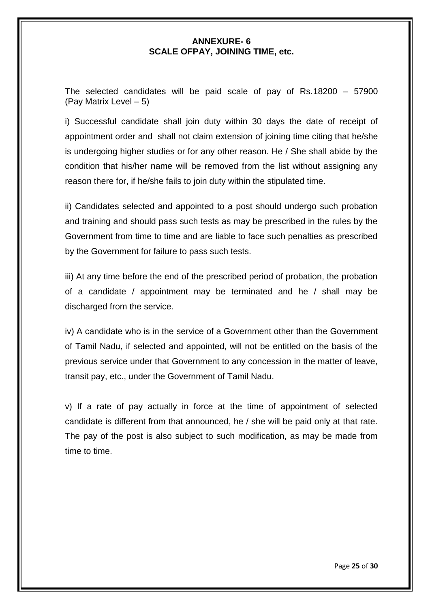#### **ANNEXURE- 6 SCALE OFPAY, JOINING TIME, etc.**

The selected candidates will be paid scale of pay of Rs.18200 – 57900 (Pay Matrix Level – 5)

i) Successful candidate shall join duty within 30 days the date of receipt of appointment order and shall not claim extension of joining time citing that he/she is undergoing higher studies or for any other reason. He / She shall abide by the condition that his/her name will be removed from the list without assigning any reason there for, if he/she fails to join duty within the stipulated time.

ii) Candidates selected and appointed to a post should undergo such probation and training and should pass such tests as may be prescribed in the rules by the Government from time to time and are liable to face such penalties as prescribed by the Government for failure to pass such tests.

iii) At any time before the end of the prescribed period of probation, the probation of a candidate / appointment may be terminated and he / shall may be discharged from the service.

iv) A candidate who is in the service of a Government other than the Government of Tamil Nadu, if selected and appointed, will not be entitled on the basis of the previous service under that Government to any concession in the matter of leave, transit pay, etc., under the Government of Tamil Nadu.

v) If a rate of pay actually in force at the time of appointment of selected candidate is different from that announced, he / she will be paid only at that rate. The pay of the post is also subject to such modification, as may be made from time to time.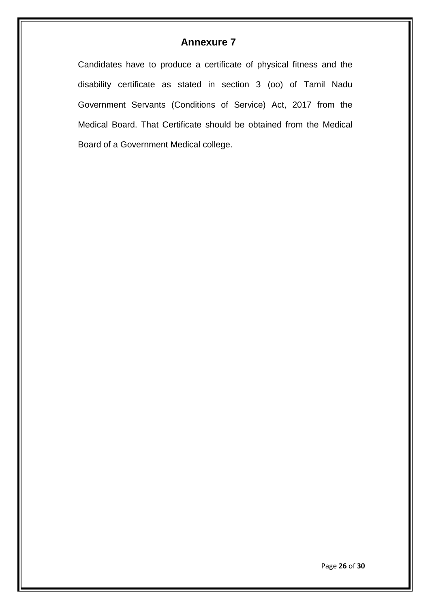# **Annexure 7**

Candidates have to produce a certificate of physical fitness and the disability certificate as stated in section 3 (oo) of Tamil Nadu Government Servants (Conditions of Service) Act, 2017 from the Medical Board. That Certificate should be obtained from the Medical Board of a Government Medical college.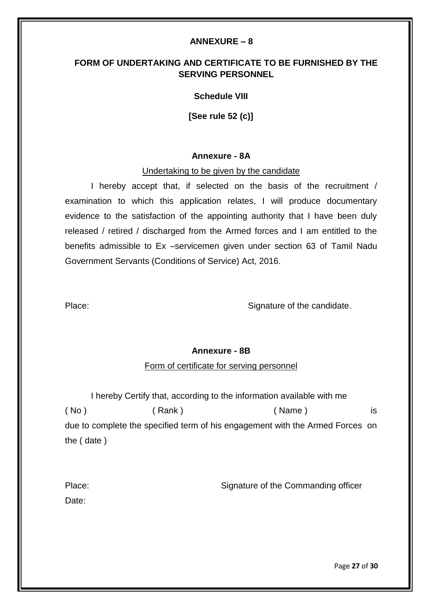#### **ANNEXURE – 8**

# **FORM OF UNDERTAKING AND CERTIFICATE TO BE FURNISHED BY THE SERVING PERSONNEL**

#### **Schedule VIII**

**[See rule 52 (c)]**

#### **Annexure - 8A**

#### Undertaking to be given by the candidate

I hereby accept that, if selected on the basis of the recruitment / examination to which this application relates, I will produce documentary evidence to the satisfaction of the appointing authority that I have been duly released / retired / discharged from the Armed forces and I am entitled to the benefits admissible to Ex –servicemen given under section 63 of Tamil Nadu Government Servants (Conditions of Service) Act, 2016.

Place: Signature of the candidate.

#### **Annexure - 8B**

#### Form of certificate for serving personnel

I hereby Certify that, according to the information available with me ( No ) ( Rank ) ( Name ) is due to complete the specified term of his engagement with the Armed Forces on the ( date )

| Place: | Signature of the Commanding officer |
|--------|-------------------------------------|
| Date:  |                                     |

Page **27** of **30**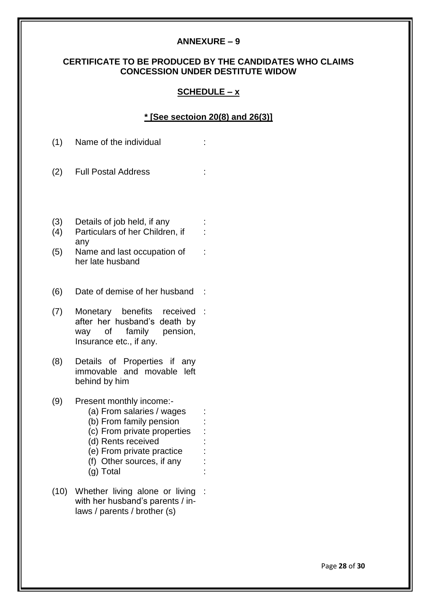#### **ANNEXURE – 9**

## **CERTIFICATE TO BE PRODUCED BY THE CANDIDATES WHO CLAIMS CONCESSION UNDER DESTITUTE WIDOW**

#### **SCHEDULE – x**

#### **\* [See sectoion 20(8) and 26(3)]**

:

- (1) Name of the individual :
- (2) Full Postal Address :
- (3) Details of job held, if any (4) Particulars of her Children, if
- any (5) Name and last occupation of :
	- her late husband
- (6) Date of demise of her husband :
- (7) Monetary benefits after her husband"s death by way of family pension, Insurance etc., if any. received :
- (8) Details of Properties if any immovable and movable left behind by him
- (9) Present monthly income:-
	- (a) From salaries / wages :
	- (b) From family pension
	- (c) From private properties
	- (d) Rents received :
	- (e) From private practice :
	- (f) Other sources, if any :
	- (g) Total :
- (10) Whether living alone or living :with her husband's parents / inlaws / parents / brother (s)

Page **28** of **30**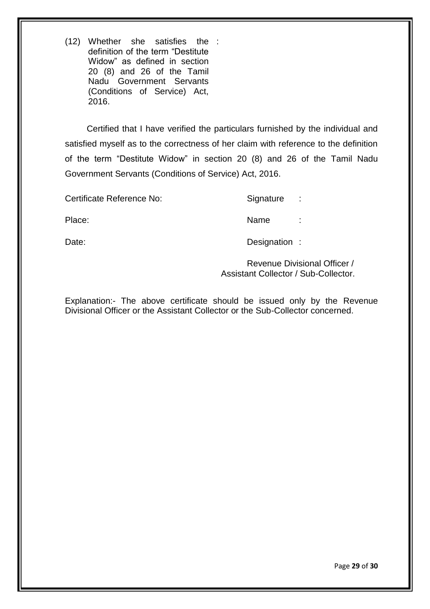(12) Whether she satisfies the : definition of the term "Destitute Widow" as defined in section 20 (8) and 26 of the Tamil Nadu Government Servants (Conditions of Service) Act, 2016.

 Certified that I have verified the particulars furnished by the individual and satisfied myself as to the correctness of her claim with reference to the definition of the term "Destitute Widow" in section 20 (8) and 26 of the Tamil Nadu Government Servants (Conditions of Service) Act, 2016.

Certificate Reference No: Signature :

Place: Name : Name : Name : Name : Name : Name : Name : Name : Name : Name : Name : Name : Name : Name : Name :  $\sim$  Name :  $\sim$  Name :  $\sim$  Name :  $\sim$  Name :  $\sim$  Name :  $\sim$  Name :  $\sim$  Name :  $\sim$  Name :  $\sim$  Name :  $\$ 

Date: Date: Designation :

Revenue Divisional Officer / Assistant Collector / Sub-Collector.

Explanation:- The above certificate should be issued only by the Revenue Divisional Officer or the Assistant Collector or the Sub-Collector concerned.